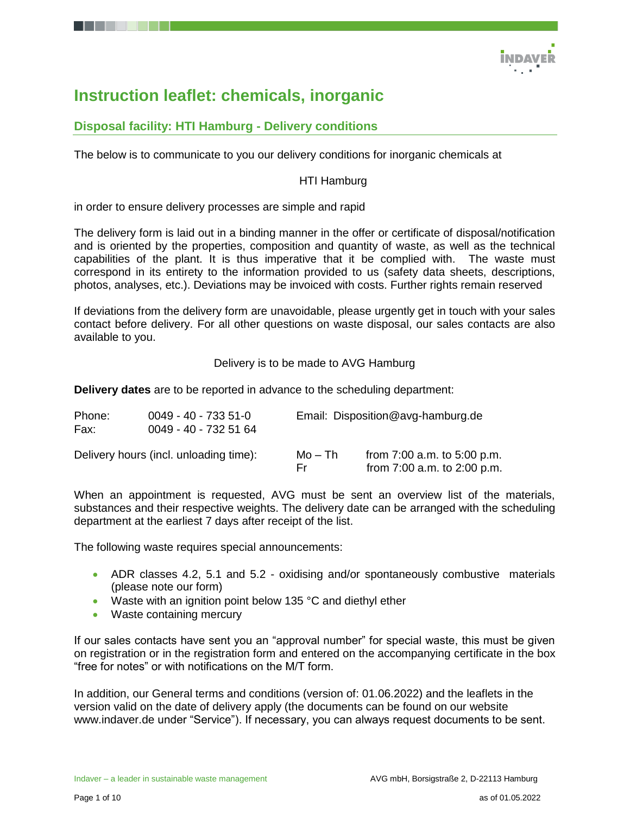

## **Instruction leaflet: chemicals, inorganic**

## **Disposal facility: HTI Hamburg - Delivery conditions**

The below is to communicate to you our delivery conditions for inorganic chemicals at

#### HTI Hamburg

in order to ensure delivery processes are simple and rapid

The delivery form is laid out in a binding manner in the offer or certificate of disposal/notification and is oriented by the properties, composition and quantity of waste, as well as the technical capabilities of the plant. It is thus imperative that it be complied with. The waste must correspond in its entirety to the information provided to us (safety data sheets, descriptions, photos, analyses, etc.). Deviations may be invoiced with costs. Further rights remain reserved

If deviations from the delivery form are unavoidable, please urgently get in touch with your sales contact before delivery. For all other questions on waste disposal, our sales contacts are also available to you.

Delivery is to be made to AVG Hamburg

**Delivery dates** are to be reported in advance to the scheduling department:

| Phone:<br>$0049 - 40 - 7335 - 51 - 0$<br>0049 - 40 - 732 51 64<br>Fax: |                                        |                | Email: Disposition@avg-hamburg.de                              |
|------------------------------------------------------------------------|----------------------------------------|----------------|----------------------------------------------------------------|
|                                                                        | Delivery hours (incl. unloading time): | Mo – Th<br>Fr. | from $7:00$ a.m. to $5:00$ p.m.<br>from 7:00 a.m. to 2:00 p.m. |

When an appointment is requested, AVG must be sent an overview list of the materials, substances and their respective weights. The delivery date can be arranged with the scheduling department at the earliest 7 days after receipt of the list.

The following waste requires special announcements:

- ADR classes 4.2, 5.1 and 5.2 oxidising and/or spontaneously combustive materials (please note our form)
- Waste with an ignition point below 135 °C and diethyl ether
- Waste containing mercury

If our sales contacts have sent you an "approval number" for special waste, this must be given on registration or in the registration form and entered on the accompanying certificate in the box "free for notes" or with notifications on the M/T form.

In addition, our General terms and conditions (version of: 01.06.2022) and the leaflets in the version valid on the date of delivery apply (the documents can be found on our website [www.indaver.de](http://www.indaver.de/) under "Service"). If necessary, you can always request documents to be sent.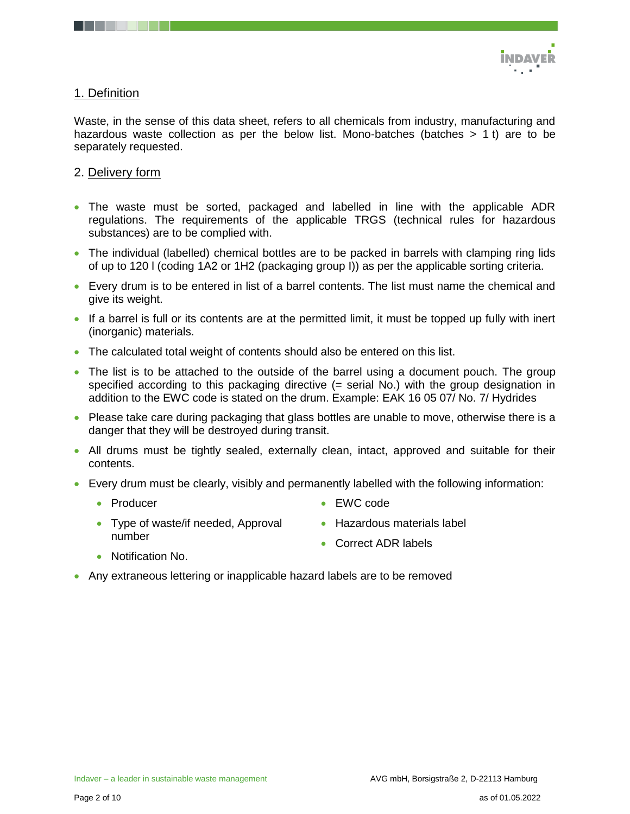

#### 1. Definition

Waste, in the sense of this data sheet, refers to all chemicals from industry, manufacturing and hazardous waste collection as per the below list. Mono-batches (batches  $> 1$  t) are to be separately requested.

#### 2. Delivery form

- The waste must be sorted, packaged and labelled in line with the applicable ADR regulations. The requirements of the applicable TRGS (technical rules for hazardous substances) are to be complied with.
- The individual (labelled) chemical bottles are to be packed in barrels with clamping ring lids of up to 120 l (coding 1A2 or 1H2 (packaging group I)) as per the applicable sorting criteria.
- Every drum is to be entered in list of a barrel contents. The list must name the chemical and give its weight.
- If a barrel is full or its contents are at the permitted limit, it must be topped up fully with inert (inorganic) materials.
- The calculated total weight of contents should also be entered on this list.
- The list is to be attached to the outside of the barrel using a document pouch. The group specified according to this packaging directive (= serial No.) with the group designation in addition to the EWC code is stated on the drum. Example: EAK 16 05 07/ No. 7/ Hydrides
- Please take care during packaging that glass bottles are unable to move, otherwise there is a danger that they will be destroyed during transit.
- All drums must be tightly sealed, externally clean, intact, approved and suitable for their contents.
- Every drum must be clearly, visibly and permanently labelled with the following information:
	- Producer
- EWC code
- Type of waste/if needed, Approval number
- Hazardous materials label

• Correct ADR labels

- Notification No.
- Any extraneous lettering or inapplicable hazard labels are to be removed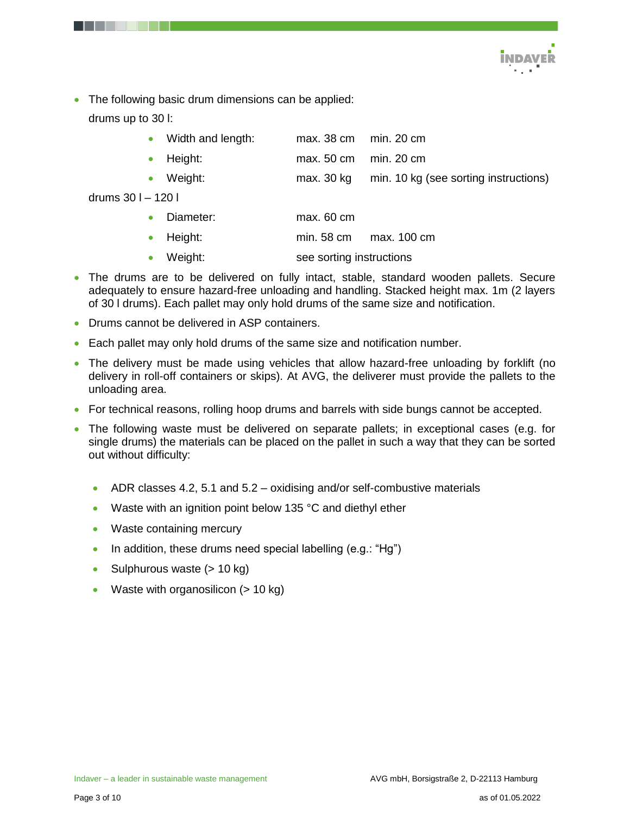

• The following basic drum dimensions can be applied: drums up to 30 l:

|  | Width and length: | max. 38 cm  min. 20 cm |  |  |
|--|-------------------|------------------------|--|--|
|--|-------------------|------------------------|--|--|

- Height: max. 50 cm min. 20 cm
- Weight: max. 30 kg min. 10 kg (see sorting instructions)
- drums 30 l 120 l

| Diameter:<br>max. 60 cm |
|-------------------------|
|-------------------------|

- Height: min. 58 cm max. 100 cm
- Weight: see sorting instructions
- The drums are to be delivered on fully intact, stable, standard wooden pallets. Secure adequately to ensure hazard-free unloading and handling. Stacked height max. 1m (2 layers of 30 l drums). Each pallet may only hold drums of the same size and notification.
- Drums cannot be delivered in ASP containers.
- Each pallet may only hold drums of the same size and notification number.
- The delivery must be made using vehicles that allow hazard-free unloading by forklift (no delivery in roll-off containers or skips). At AVG, the deliverer must provide the pallets to the unloading area.
- For technical reasons, rolling hoop drums and barrels with side bungs cannot be accepted.
- The following waste must be delivered on separate pallets; in exceptional cases (e.g. for single drums) the materials can be placed on the pallet in such a way that they can be sorted out without difficulty:
	- $\bullet$  ADR classes 4.2, 5.1 and 5.2 oxidising and/or self-combustive materials
	- Waste with an ignition point below 135 °C and diethyl ether
	- Waste containing mercury
	- In addition, these drums need special labelling  $(e.g.: "Hg")$
	- Sulphurous waste  $(> 10 \text{ kg})$
	- Waste with organosilicon  $(> 10 \text{ kg})$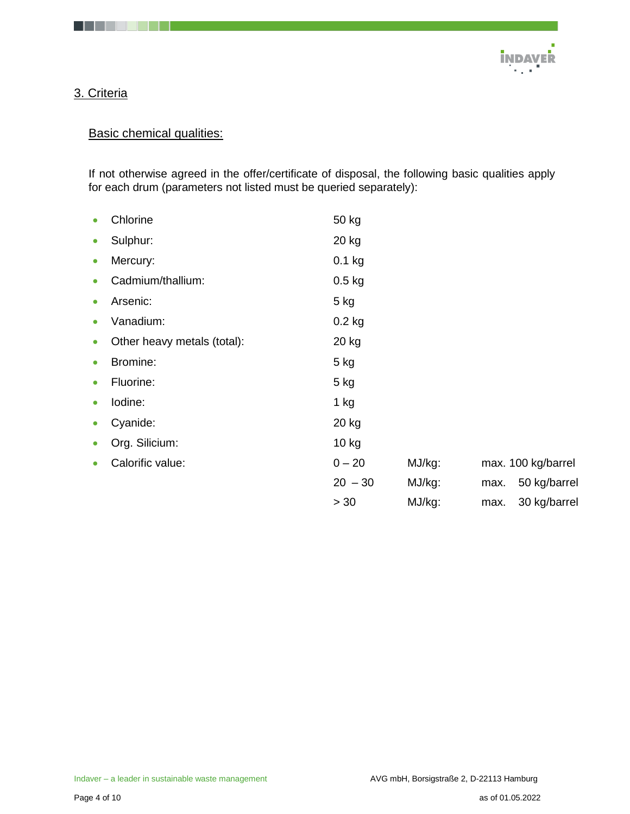

## 3. Criteria

## **Basic chemical qualities:**

If not otherwise agreed in the offer/certificate of disposal, the following basic qualities apply for each drum (parameters not listed must be queried separately):

| $\bullet$ | Chlorine                    | 50 kg     |        |      |                    |
|-----------|-----------------------------|-----------|--------|------|--------------------|
| $\bullet$ | Sulphur:                    | 20 kg     |        |      |                    |
| $\bullet$ | Mercury:                    | $0.1$ kg  |        |      |                    |
| $\bullet$ | Cadmium/thallium:           | $0.5$ kg  |        |      |                    |
| $\bullet$ | Arsenic:                    | $5$ kg    |        |      |                    |
| $\bullet$ | Vanadium:                   | $0.2$ kg  |        |      |                    |
| $\bullet$ | Other heavy metals (total): | 20 kg     |        |      |                    |
| $\bullet$ | Bromine:                    | $5$ kg    |        |      |                    |
| $\bullet$ | Fluorine:                   | $5$ kg    |        |      |                    |
| $\bullet$ | lodine:                     | $1$ kg    |        |      |                    |
| $\bullet$ | Cyanide:                    | 20 kg     |        |      |                    |
| $\bullet$ | Org. Silicium:              | 10 kg     |        |      |                    |
| $\bullet$ | Calorific value:            | $0 - 20$  | MJ/kg: |      | max. 100 kg/barrel |
|           |                             | $20 - 30$ | MJ/kg: | max. | 50 kg/barrel       |
|           |                             | > 30      | MJ/kg: | max. | 30 kg/barrel       |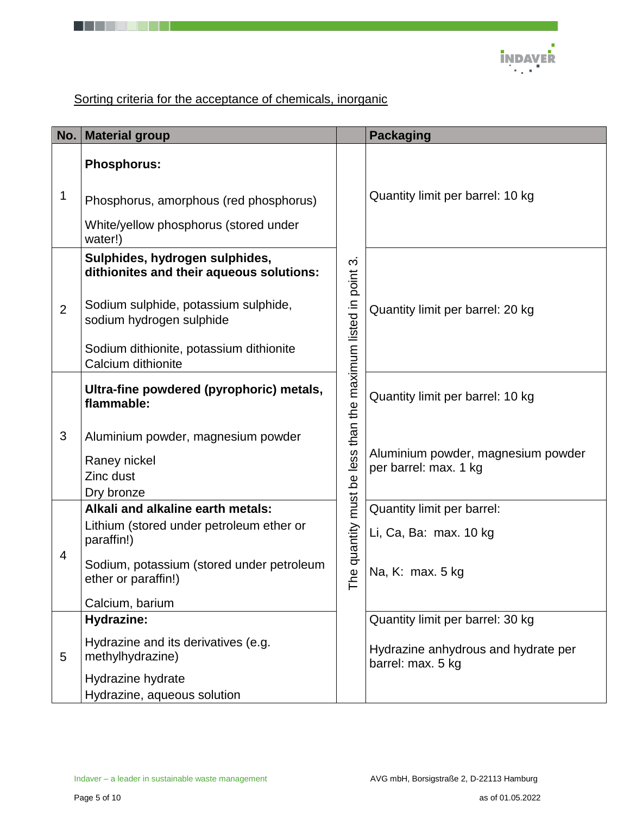

# Sorting criteria for the acceptance of chemicals, inorganic

. . . .

| No.            | <b>Material group</b>                                                      |                                  | <b>Packaging</b>                                            |
|----------------|----------------------------------------------------------------------------|----------------------------------|-------------------------------------------------------------|
|                | <b>Phosphorus:</b>                                                         |                                  |                                                             |
| 1              | Phosphorus, amorphous (red phosphorus)                                     |                                  | Quantity limit per barrel: 10 kg                            |
|                | White/yellow phosphorus (stored under<br>water!)                           |                                  |                                                             |
|                | Sulphides, hydrogen sulphides,<br>dithionites and their aqueous solutions: | က                                |                                                             |
| $\overline{2}$ | Sodium sulphide, potassium sulphide,<br>sodium hydrogen sulphide           | than the maximum listed in point | Quantity limit per barrel: 20 kg                            |
|                | Sodium dithionite, potassium dithionite<br>Calcium dithionite              |                                  |                                                             |
|                | Ultra-fine powdered (pyrophoric) metals,<br>flammable:                     |                                  | Quantity limit per barrel: 10 kg                            |
| 3              | Aluminium powder, magnesium powder                                         |                                  |                                                             |
|                | Raney nickel                                                               |                                  | Aluminium powder, magnesium powder<br>per barrel: max. 1 kg |
|                | Zinc dust<br>Dry bronze                                                    |                                  |                                                             |
|                | Alkali and alkaline earth metals:                                          |                                  | Quantity limit per barrel:                                  |
|                | Lithium (stored under petroleum ether or<br>paraffin!)                     |                                  | Li, Ca, Ba: max. 10 kg                                      |
| 4              | Sodium, potassium (stored under petroleum<br>ether or paraffin!)           | he quantity must be less<br>⊢    | Na, K: max. 5 kg                                            |
|                | Calcium, barium                                                            |                                  |                                                             |
|                | <b>Hydrazine:</b>                                                          |                                  | Quantity limit per barrel: 30 kg                            |
| 5              | Hydrazine and its derivatives (e.g.<br>methylhydrazine)                    |                                  | Hydrazine anhydrous and hydrate per<br>barrel: max. 5 kg    |
|                | Hydrazine hydrate<br>Hydrazine, aqueous solution                           |                                  |                                                             |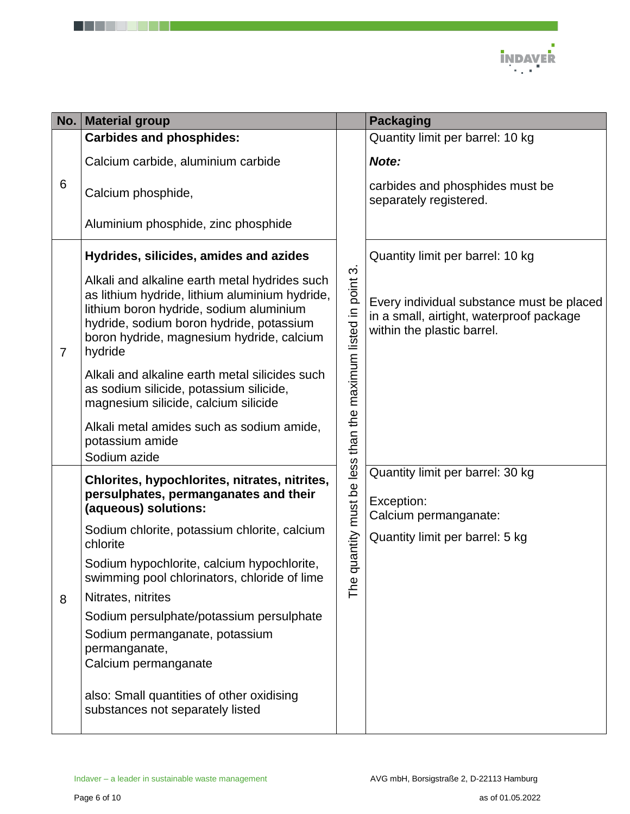

|                | No. Material group                                                                                                                                                                                                                             |                                                          | <b>Packaging</b>                                                                                                    |
|----------------|------------------------------------------------------------------------------------------------------------------------------------------------------------------------------------------------------------------------------------------------|----------------------------------------------------------|---------------------------------------------------------------------------------------------------------------------|
| 6              | <b>Carbides and phosphides:</b>                                                                                                                                                                                                                |                                                          | Quantity limit per barrel: 10 kg                                                                                    |
|                | Calcium carbide, aluminium carbide                                                                                                                                                                                                             |                                                          | Note:                                                                                                               |
|                | Calcium phosphide,                                                                                                                                                                                                                             |                                                          | carbides and phosphides must be<br>separately registered.                                                           |
|                | Aluminium phosphide, zinc phosphide                                                                                                                                                                                                            |                                                          |                                                                                                                     |
|                | Hydrides, silicides, amides and azides                                                                                                                                                                                                         |                                                          | Quantity limit per barrel: 10 kg                                                                                    |
| $\overline{7}$ | Alkali and alkaline earth metal hydrides such<br>as lithium hydride, lithium aluminium hydride,<br>lithium boron hydride, sodium aluminium<br>hydride, sodium boron hydride, potassium<br>boron hydride, magnesium hydride, calcium<br>hydride |                                                          | Every individual substance must be placed<br>in a small, airtight, waterproof package<br>within the plastic barrel. |
|                | Alkali and alkaline earth metal silicides such<br>as sodium silicide, potassium silicide,<br>magnesium silicide, calcium silicide                                                                                                              | uantity must be less than the maximum listed in point 3. |                                                                                                                     |
|                | Alkali metal amides such as sodium amide,<br>potassium amide<br>Sodium azide                                                                                                                                                                   |                                                          |                                                                                                                     |
|                | Chlorites, hypochlorites, nitrates, nitrites,<br>persulphates, permanganates and their<br>(aqueous) solutions:                                                                                                                                 |                                                          | Quantity limit per barrel: 30 kg<br>Exception:<br>Calcium permanganate:                                             |
|                | Sodium chlorite, potassium chlorite, calcium<br>chlorite                                                                                                                                                                                       | ᡋ                                                        | Quantity limit per barrel: 5 kg                                                                                     |
|                | Sodium hypochlorite, calcium hypochlorite,<br>swimming pool chlorinators, chloride of lime                                                                                                                                                     |                                                          |                                                                                                                     |
| 8              | Nitrates, nitrites                                                                                                                                                                                                                             | The                                                      |                                                                                                                     |
|                | Sodium persulphate/potassium persulphate                                                                                                                                                                                                       |                                                          |                                                                                                                     |
|                | Sodium permanganate, potassium                                                                                                                                                                                                                 |                                                          |                                                                                                                     |
|                | permanganate,<br>Calcium permanganate                                                                                                                                                                                                          |                                                          |                                                                                                                     |
|                | also: Small quantities of other oxidising<br>substances not separately listed                                                                                                                                                                  |                                                          |                                                                                                                     |

. . . . . .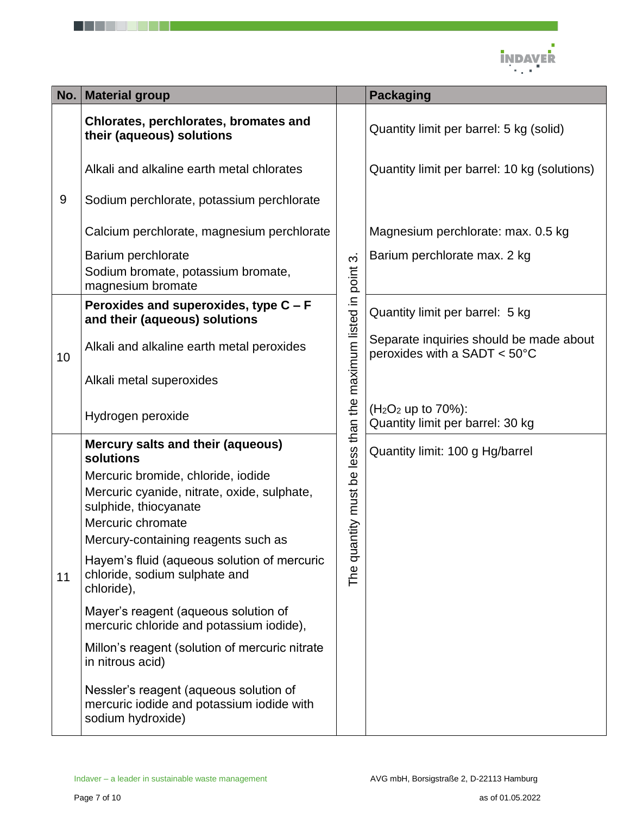

| No. | <b>Material group</b>                                                                                                                                                  |                                                            | <b>Packaging</b>                                                        |
|-----|------------------------------------------------------------------------------------------------------------------------------------------------------------------------|------------------------------------------------------------|-------------------------------------------------------------------------|
|     | Chlorates, perchlorates, bromates and<br>their (aqueous) solutions                                                                                                     |                                                            | Quantity limit per barrel: 5 kg (solid)                                 |
|     | Alkali and alkaline earth metal chlorates                                                                                                                              |                                                            | Quantity limit per barrel: 10 kg (solutions)                            |
| 9   | Sodium perchlorate, potassium perchlorate                                                                                                                              |                                                            |                                                                         |
|     | Calcium perchlorate, magnesium perchlorate                                                                                                                             |                                                            | Magnesium perchlorate: max. 0.5 kg                                      |
|     | Barium perchlorate<br>Sodium bromate, potassium bromate,<br>magnesium bromate                                                                                          | $\sim$                                                     | Barium perchlorate max. 2 kg                                            |
|     | Peroxides and superoxides, type $C - F$<br>and their (aqueous) solutions                                                                                               |                                                            | Quantity limit per barrel: 5 kg                                         |
| 10  | Alkali and alkaline earth metal peroxides                                                                                                                              |                                                            | Separate inquiries should be made about<br>peroxides with a SADT < 50°C |
|     | Alkali metal superoxides                                                                                                                                               |                                                            |                                                                         |
|     | Hydrogen peroxide                                                                                                                                                      |                                                            | $(H2O2$ up to 70%):<br>Quantity limit per barrel: 30 kg                 |
|     | Mercury salts and their (aqueous)<br>solutions                                                                                                                         |                                                            | Quantity limit: 100 g Hg/barrel                                         |
| 11  | Mercuric bromide, chloride, iodide<br>Mercuric cyanide, nitrate, oxide, sulphate,<br>sulphide, thiocyanate<br>Mercuric chromate<br>Mercury-containing reagents such as | The quantity must be less than the maximum listed in point |                                                                         |
|     | Hayem's fluid (aqueous solution of mercuric<br>chloride, sodium sulphate and<br>chloride),                                                                             |                                                            |                                                                         |
|     | Mayer's reagent (aqueous solution of<br>mercuric chloride and potassium iodide),                                                                                       |                                                            |                                                                         |
|     | Millon's reagent (solution of mercuric nitrate<br>in nitrous acid)                                                                                                     |                                                            |                                                                         |
|     | Nessler's reagent (aqueous solution of<br>mercuric iodide and potassium iodide with<br>sodium hydroxide)                                                               |                                                            |                                                                         |

. . . . . . .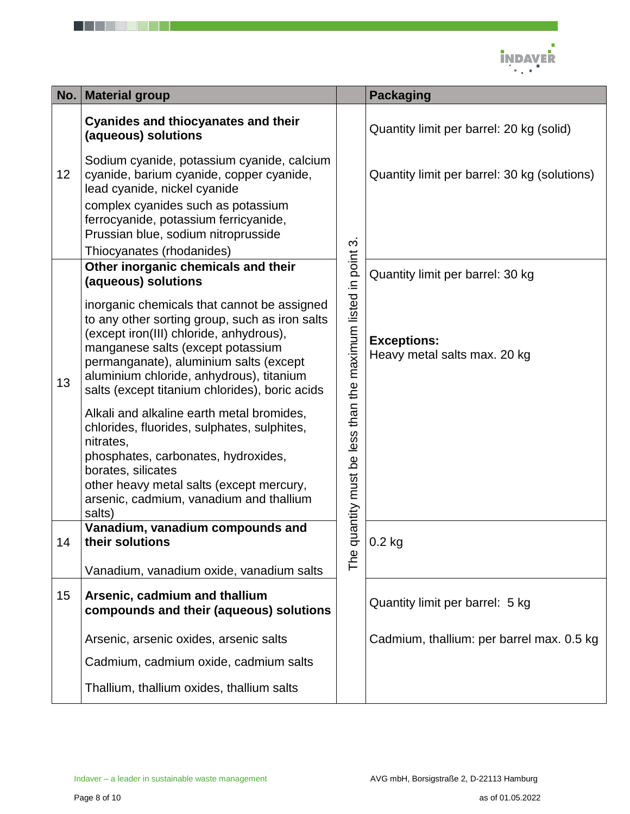

| No. | <b>Material group</b>                                                                                                                                                                                                                                                                                                 |                                                        | <b>Packaging</b>                                   |
|-----|-----------------------------------------------------------------------------------------------------------------------------------------------------------------------------------------------------------------------------------------------------------------------------------------------------------------------|--------------------------------------------------------|----------------------------------------------------|
|     | <b>Cyanides and thiocyanates and their</b><br>(aqueous) solutions                                                                                                                                                                                                                                                     |                                                        | Quantity limit per barrel: 20 kg (solid)           |
| 12  | Sodium cyanide, potassium cyanide, calcium<br>cyanide, barium cyanide, copper cyanide,<br>lead cyanide, nickel cyanide                                                                                                                                                                                                |                                                        | Quantity limit per barrel: 30 kg (solutions)       |
|     | complex cyanides such as potassium<br>ferrocyanide, potassium ferricyanide,<br>Prussian blue, sodium nitroprusside                                                                                                                                                                                                    | က                                                      |                                                    |
|     | Thiocyanates (rhodanides)                                                                                                                                                                                                                                                                                             |                                                        |                                                    |
|     | Other inorganic chemicals and their<br>(aqueous) solutions                                                                                                                                                                                                                                                            |                                                        | Quantity limit per barrel: 30 kg                   |
| 13  | inorganic chemicals that cannot be assigned<br>to any other sorting group, such as iron salts<br>(except iron(III) chloride, anhydrous),<br>manganese salts (except potassium<br>permanganate), aluminium salts (except<br>aluminium chloride, anhydrous), titanium<br>salts (except titanium chlorides), boric acids |                                                        | <b>Exceptions:</b><br>Heavy metal salts max. 20 kg |
|     | Alkali and alkaline earth metal bromides,<br>chlorides, fluorides, sulphates, sulphites,<br>nitrates,<br>phosphates, carbonates, hydroxides,<br>borates, silicates<br>other heavy metal salts (except mercury,<br>arsenic, cadmium, vanadium and thallium<br>salts)                                                   | quantity must be less than the maximum listed in point |                                                    |
| 14  | Vanadium, vanadium compounds and<br>their solutions                                                                                                                                                                                                                                                                   |                                                        | $0.2$ kg                                           |
|     | Vanadium, vanadium oxide, vanadium salts                                                                                                                                                                                                                                                                              | The                                                    |                                                    |
| 15  | Arsenic, cadmium and thallium<br>compounds and their (aqueous) solutions                                                                                                                                                                                                                                              |                                                        | Quantity limit per barrel: 5 kg                    |
|     | Arsenic, arsenic oxides, arsenic salts                                                                                                                                                                                                                                                                                |                                                        | Cadmium, thallium: per barrel max. 0.5 kg          |
|     | Cadmium, cadmium oxide, cadmium salts                                                                                                                                                                                                                                                                                 |                                                        |                                                    |
|     | Thallium, thallium oxides, thallium salts                                                                                                                                                                                                                                                                             |                                                        |                                                    |

. . . . . .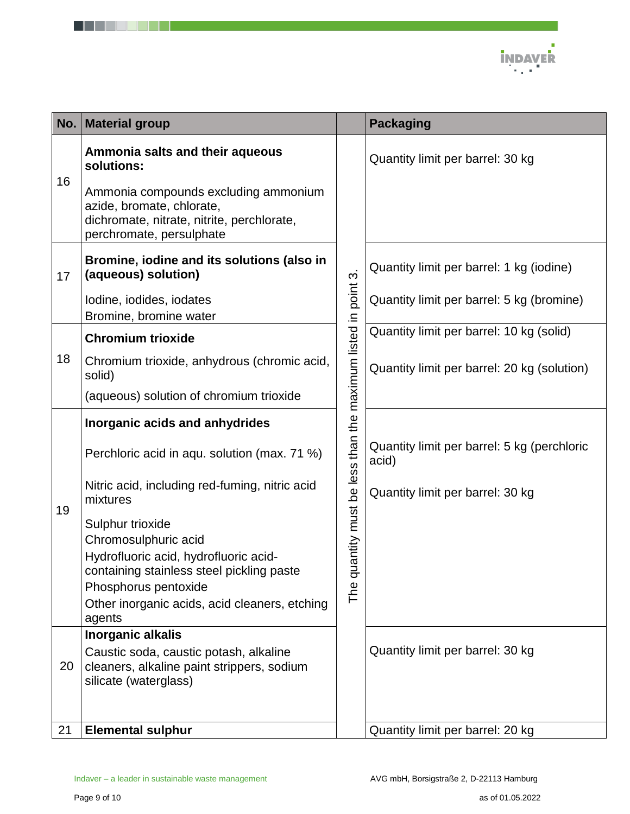

| No. | <b>Material group</b>                                                                                                                       |                                                          | <b>Packaging</b>                                     |
|-----|---------------------------------------------------------------------------------------------------------------------------------------------|----------------------------------------------------------|------------------------------------------------------|
|     | Ammonia salts and their aqueous<br>solutions:                                                                                               |                                                          | Quantity limit per barrel: 30 kg                     |
| 16  | Ammonia compounds excluding ammonium<br>azide, bromate, chlorate,<br>dichromate, nitrate, nitrite, perchlorate,<br>perchromate, persulphate |                                                          |                                                      |
| 17  | Bromine, iodine and its solutions (also in<br>(aqueous) solution)                                                                           |                                                          | Quantity limit per barrel: 1 kg (iodine)             |
|     | Iodine, iodides, iodates<br>Bromine, bromine water                                                                                          |                                                          | Quantity limit per barrel: 5 kg (bromine)            |
|     | <b>Chromium trioxide</b>                                                                                                                    |                                                          | Quantity limit per barrel: 10 kg (solid)             |
| 18  | Chromium trioxide, anhydrous (chromic acid,<br>solid)                                                                                       |                                                          | Quantity limit per barrel: 20 kg (solution)          |
|     | (aqueous) solution of chromium trioxide                                                                                                     |                                                          |                                                      |
|     | Inorganic acids and anhydrides                                                                                                              |                                                          |                                                      |
|     | Perchloric acid in aqu. solution (max. 71 %)                                                                                                | uantity must be less than the maximum listed in point 3. | Quantity limit per barrel: 5 kg (perchloric<br>acid) |
| 19  | Nitric acid, including red-fuming, nitric acid<br>mixtures                                                                                  |                                                          | Quantity limit per barrel: 30 kg                     |
|     | Sulphur trioxide                                                                                                                            |                                                          |                                                      |
|     | Chromosulphuric acid<br>Hydrofluoric acid, hydrofluoric acid-                                                                               |                                                          |                                                      |
|     | containing stainless steel pickling paste                                                                                                   | $\bar{\sigma}$                                           |                                                      |
|     | Phosphorus pentoxide<br>Other inorganic acids, acid cleaners, etching                                                                       | The                                                      |                                                      |
|     | agents                                                                                                                                      |                                                          |                                                      |
|     | Inorganic alkalis                                                                                                                           |                                                          |                                                      |
| 20  | Caustic soda, caustic potash, alkaline<br>cleaners, alkaline paint strippers, sodium<br>silicate (waterglass)                               |                                                          | Quantity limit per barrel: 30 kg                     |
|     |                                                                                                                                             |                                                          |                                                      |
| 21  | <b>Elemental sulphur</b>                                                                                                                    |                                                          | Quantity limit per barrel: 20 kg                     |

. . . . . .